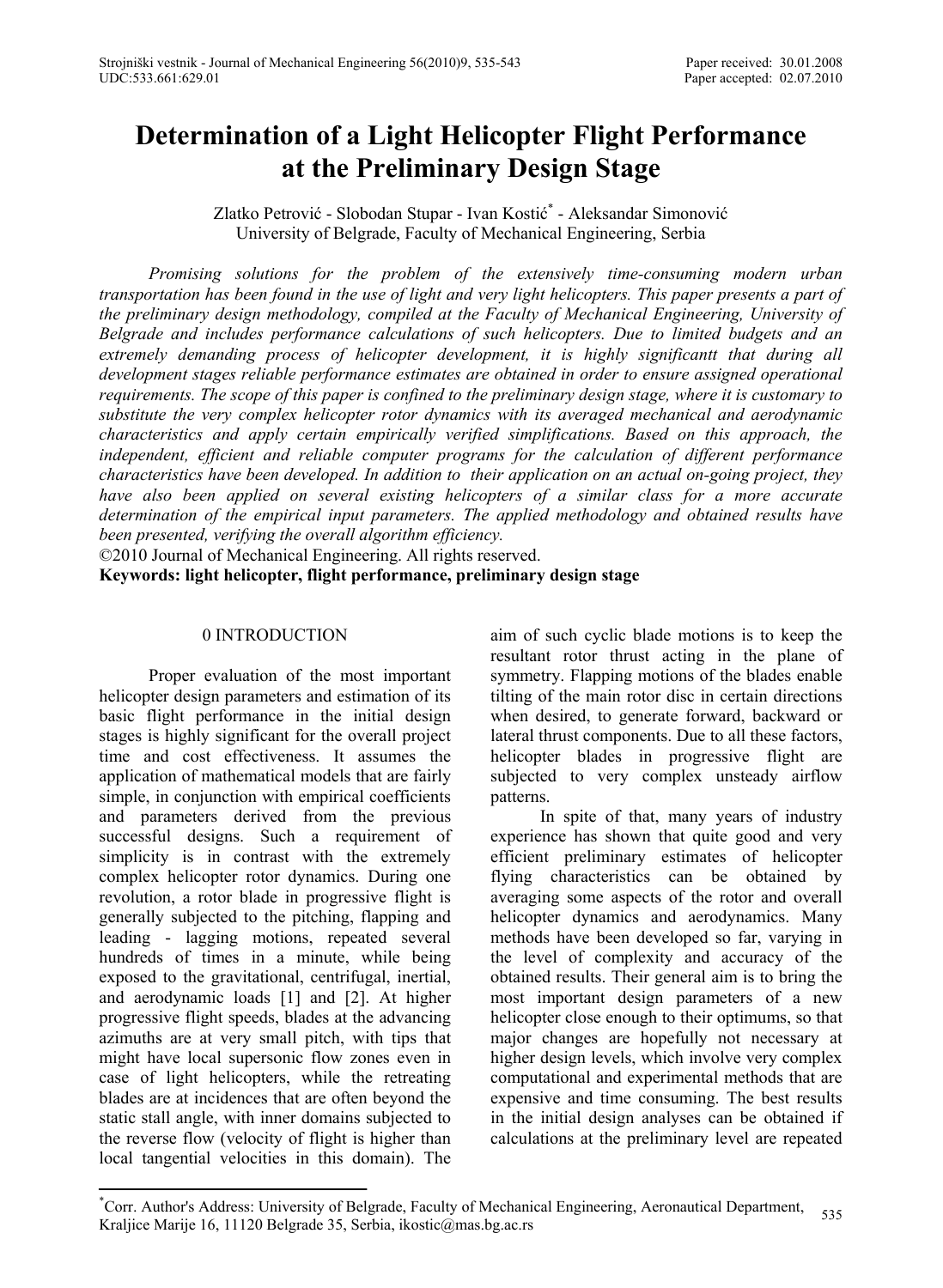# **Determination of a Light Helicopter Flight Performance at the Preliminary Design Stage**

Zlatko Petrović - Slobodan Stupar - Ivan Kostić<sup>\*</sup> - Aleksandar Simonović University of Belgrade, Faculty of Mechanical Engineering, Serbia

*Promising solutions for the problem of the extensively time-consuming modern urban transportation has been found in the use of light and very light helicopters. This paper presents a part of the preliminary design methodology, compiled at the Faculty of Mechanical Engineering, University of Belgrade and includes performance calculations of such helicopters. Due to limited budgets and an extremely demanding process of helicopter development, it is highly significantt that during all development stages reliable performance estimates are obtained in order to ensure assigned operational requirements. The scope of this paper is confined to the preliminary design stage, where it is customary to substitute the very complex helicopter rotor dynamics with its averaged mechanical and aerodynamic characteristics and apply certain empirically verified simplifications. Based on this approach, the independent, efficient and reliable computer programs for the calculation of different performance characteristics have been developed. In addition to their application on an actual on-going project, they have also been applied on several existing helicopters of a similar class for a more accurate determination of the empirical input parameters. The applied methodology and obtained results have been presented, verifying the overall algorithm efficiency.* 

©2010 Journal of Mechanical Engineering. All rights reserved.

**Keywords: light helicopter, flight performance, preliminary design stage**

### 0 INTRODUCTION

Proper evaluation of the most important helicopter design parameters and estimation of its basic flight performance in the initial design stages is highly significant for the overall project time and cost effectiveness. It assumes the application of mathematical models that are fairly simple, in conjunction with empirical coefficients and parameters derived from the previous successful designs. Such a requirement of simplicity is in contrast with the extremely complex helicopter rotor dynamics. During one revolution, a rotor blade in progressive flight is generally subjected to the pitching, flapping and leading - lagging motions, repeated several hundreds of times in a minute, while being exposed to the gravitational, centrifugal, inertial, and aerodynamic loads [1] and [2]. At higher progressive flight speeds, blades at the advancing azimuths are at very small pitch, with tips that might have local supersonic flow zones even in case of light helicopters, while the retreating blades are at incidences that are often beyond the static stall angle, with inner domains subjected to the reverse flow (velocity of flight is higher than local tangential velocities in this domain). The

aim of such cyclic blade motions is to keep the resultant rotor thrust acting in the plane of symmetry. Flapping motions of the blades enable tilting of the main rotor disc in certain directions when desired, to generate forward, backward or lateral thrust components. Due to all these factors, helicopter blades in progressive flight are subjected to very complex unsteady airflow patterns.

In spite of that, many years of industry experience has shown that quite good and very efficient preliminary estimates of helicopter flying characteristics can be obtained by averaging some aspects of the rotor and overall helicopter dynamics and aerodynamics. Many methods have been developed so far, varying in the level of complexity and accuracy of the obtained results. Their general aim is to bring the most important design parameters of a new helicopter close enough to their optimums, so that major changes are hopefully not necessary at higher design levels, which involve very complex computational and experimental methods that are expensive and time consuming. The best results in the initial design analyses can be obtained if calculations at the preliminary level are repeated

<sup>\*</sup> Corr. Author's Address: University of Belgrade, Faculty of Mechanical Engineering, Aeronautical Department, Cort. Addition 8 Additess. University of Belgrade, Pacuity of Mechanical Engineering, Aeronautical Department, 535<br>Kraljice Marije 16, 11120 Belgrade 35, Serbia, ikostic@mas.bg.ac.rs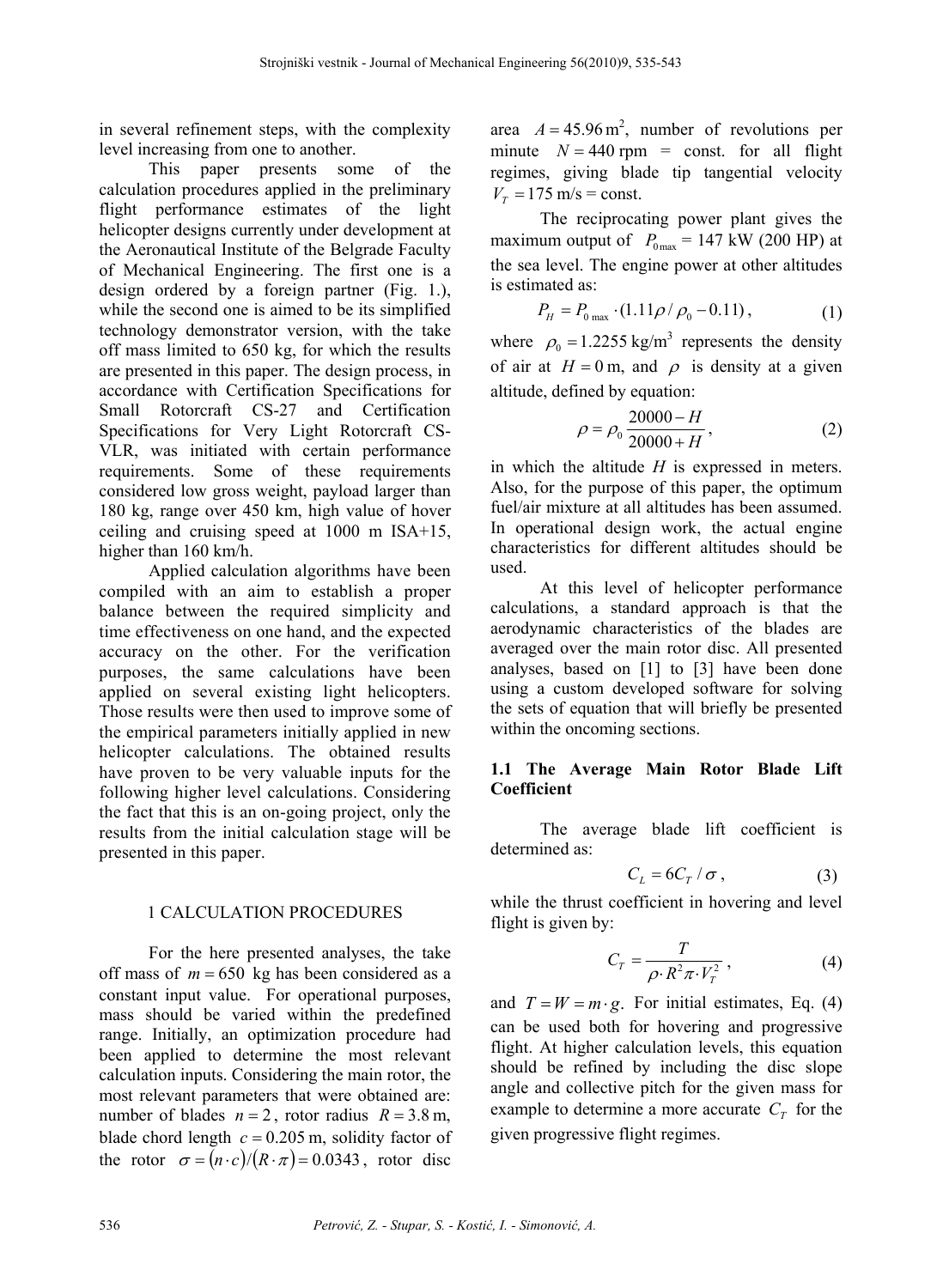in several refinement steps, with the complexity level increasing from one to another.

This paper presents some of the calculation procedures applied in the preliminary flight performance estimates of the light helicopter designs currently under development at the Aeronautical Institute of the Belgrade Faculty of Mechanical Engineering. The first one is a design ordered by a foreign partner (Fig. 1.), while the second one is aimed to be its simplified technology demonstrator version, with the take off mass limited to 650 kg, for which the results are presented in this paper. The design process, in accordance with Certification Specifications for Small Rotorcraft CS-27 and Certification Specifications for Very Light Rotorcraft CS-VLR, was initiated with certain performance requirements. Some of these requirements considered low gross weight, payload larger than 180 kg, range over 450 km, high value of hover ceiling and cruising speed at 1000 m ISA+15, higher than 160 km/h.

Applied calculation algorithms have been compiled with an aim to establish a proper balance between the required simplicity and time effectiveness on one hand, and the expected accuracy on the other. For the verification purposes, the same calculations have been applied on several existing light helicopters. Those results were then used to improve some of the empirical parameters initially applied in new helicopter calculations. The obtained results have proven to be very valuable inputs for the following higher level calculations. Considering the fact that this is an on-going project, only the results from the initial calculation stage will be presented in this paper.

## 1 CALCULATION PROCEDURES

For the here presented analyses, the take off mass of  $m = 650$  kg has been considered as a constant input value. For operational purposes, mass should be varied within the predefined range. Initially, an optimization procedure had been applied to determine the most relevant calculation inputs. Considering the main rotor, the most relevant parameters that were obtained are: number of blades  $n = 2$ , rotor radius  $R = 3.8$  m, blade chord length  $c = 0.205$  m, solidity factor of the rotor  $\sigma = (n \cdot c)/(R \cdot \pi) = 0.0343$ , rotor disc

area  $A = 45.96 \text{ m}^2$ , number of revolutions per minute  $N = 440$  rpm = const. for all flight regimes, giving blade tip tangential velocity  $V_r = 175 \text{ m/s} = \text{const.}$ 

The reciprocating power plant gives the maximum output of  $P_{0\text{max}} = 147 \text{ kW}$  (200 HP) at the sea level. The engine power at other altitudes is estimated as:

$$
P_H = P_{0\max} \cdot (1.11\rho / \rho_0 - 0.11), \tag{1}
$$

where  $\rho_0 = 1.2255 \text{ kg/m}^3$  represents the density of air at  $H = 0$  m, and  $\rho$  is density at a given altitude, defined by equation:

$$
\rho = \rho_0 \frac{20000 - H}{20000 + H},\tag{2}
$$

in which the altitude *H* is expressed in meters. Also, for the purpose of this paper, the optimum fuel/air mixture at all altitudes has been assumed. In operational design work, the actual engine characteristics for different altitudes should be used.

At this level of helicopter performance calculations, a standard approach is that the aerodynamic characteristics of the blades are averaged over the main rotor disc. All presented analyses, based on [1] to [3] have been done using a custom developed software for solving the sets of equation that will briefly be presented within the oncoming sections.

# **1.1 The Average Main Rotor Blade Lift Coefficient**

The average blade lift coefficient is determined as:

$$
C_L = 6C_T / \sigma, \qquad (3)
$$

while the thrust coefficient in hovering and level flight is given by:

$$
C_T = \frac{T}{\rho \cdot R^2 \pi \cdot V_T^2},\tag{4}
$$

and  $T = W = m \cdot g$ . For initial estimates, Eq. (4) can be used both for hovering and progressive flight. At higher calculation levels, this equation should be refined by including the disc slope angle and collective pitch for the given mass for example to determine a more accurate  $C_T$  for the given progressive flight regimes.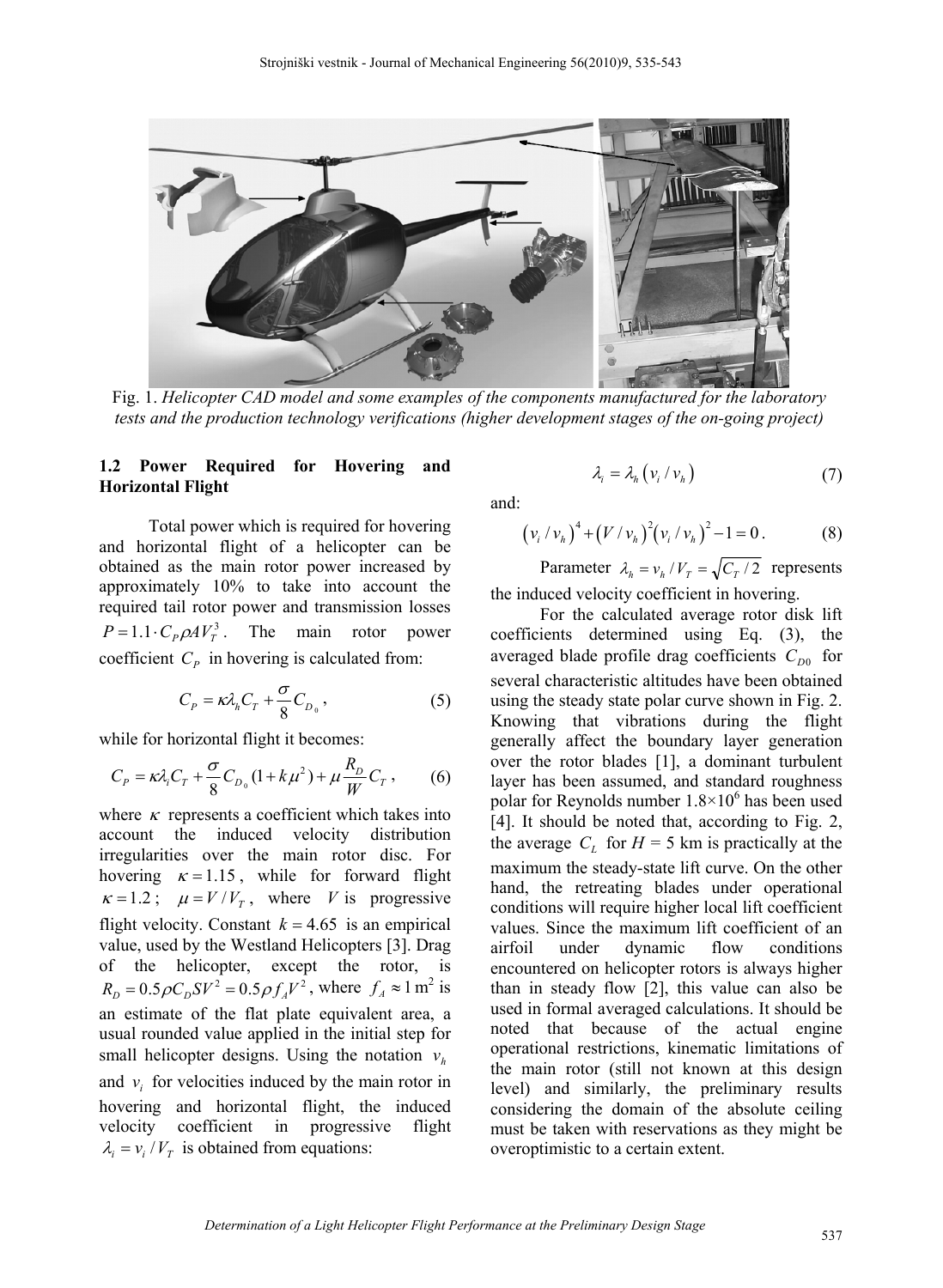

Fig. 1. *Helicopter CAD model and some examples of the components manufactured for the laboratory tests and the production technology verifications (higher development stages of the on-going project)* 

# **1.2 Power Required for Hovering and Horizontal Flight**

Total power which is required for hovering and horizontal flight of a helicopter can be obtained as the main rotor power increased by approximately 10% to take into account the required tail rotor power and transmission losses  $P = 1.1 \cdot C_p \rho A V_T^3$ . The main rotor power coefficient  $C_p$  in hovering is calculated from:

$$
C_P = \kappa \lambda_h C_T + \frac{\sigma}{8} C_{D_0}, \qquad (5)
$$

while for horizontal flight it becomes:

$$
C_P = \kappa \lambda_i C_T + \frac{\sigma}{8} C_{D_0} (1 + k\mu^2) + \mu \frac{R_D}{W} C_T ,
$$
 (6)

where  $\kappa$  represents a coefficient which takes into account the induced velocity distribution irregularities over the main rotor disc. For hovering  $\kappa = 1.15$ , while for forward flight  $\kappa = 1.2$ ;  $\mu = V/V_T$ , where *V* is progressive flight velocity. Constant  $k = 4.65$  is an empirical value, used by the Westland Helicopters [3]. Drag of the helicopter, except the rotor, is  $R_D = 0.5 \rho C_D SV^2 = 0.5 \rho f_A V^2$ , where  $f_A \approx 1 \text{ m}^2$  is an estimate of the flat plate equivalent area, a usual rounded value applied in the initial step for small helicopter designs. Using the notation  $v_h$ and  $v_i$  for velocities induced by the main rotor in hovering and horizontal flight, the induced velocity coefficient in progressive flight  $\lambda_i = v_i / V_T$  is obtained from equations:

$$
\lambda_i = \lambda_h \left( v_i / v_h \right) \tag{7}
$$

and:

$$
(\nu_i / \nu_h)^4 + (V / \nu_h)^2 (\nu_i / \nu_h)^2 - 1 = 0.
$$
 (8)

Parameter  $\lambda_k = v_k / V_T = \sqrt{C_T / 2}$  represents the induced velocity coefficient in hovering.

For the calculated average rotor disk lift coefficients determined using Eq. (3), the averaged blade profile drag coefficients  $C_{D0}$  for several characteristic altitudes have been obtained using the steady state polar curve shown in Fig. 2. Knowing that vibrations during the flight generally affect the boundary layer generation over the rotor blades [1], a dominant turbulent layer has been assumed, and standard roughness polar for Reynolds number  $1.8 \times 10^6$  has been used [4]. It should be noted that, according to Fig. 2, the average  $C_L$  for  $H = 5$  km is practically at the maximum the steady-state lift curve. On the other hand, the retreating blades under operational conditions will require higher local lift coefficient values. Since the maximum lift coefficient of an airfoil under dynamic flow conditions encountered on helicopter rotors is always higher than in steady flow [2], this value can also be used in formal averaged calculations. It should be noted that because of the actual engine operational restrictions, kinematic limitations of the main rotor (still not known at this design level) and similarly, the preliminary results considering the domain of the absolute ceiling must be taken with reservations as they might be overoptimistic to a certain extent.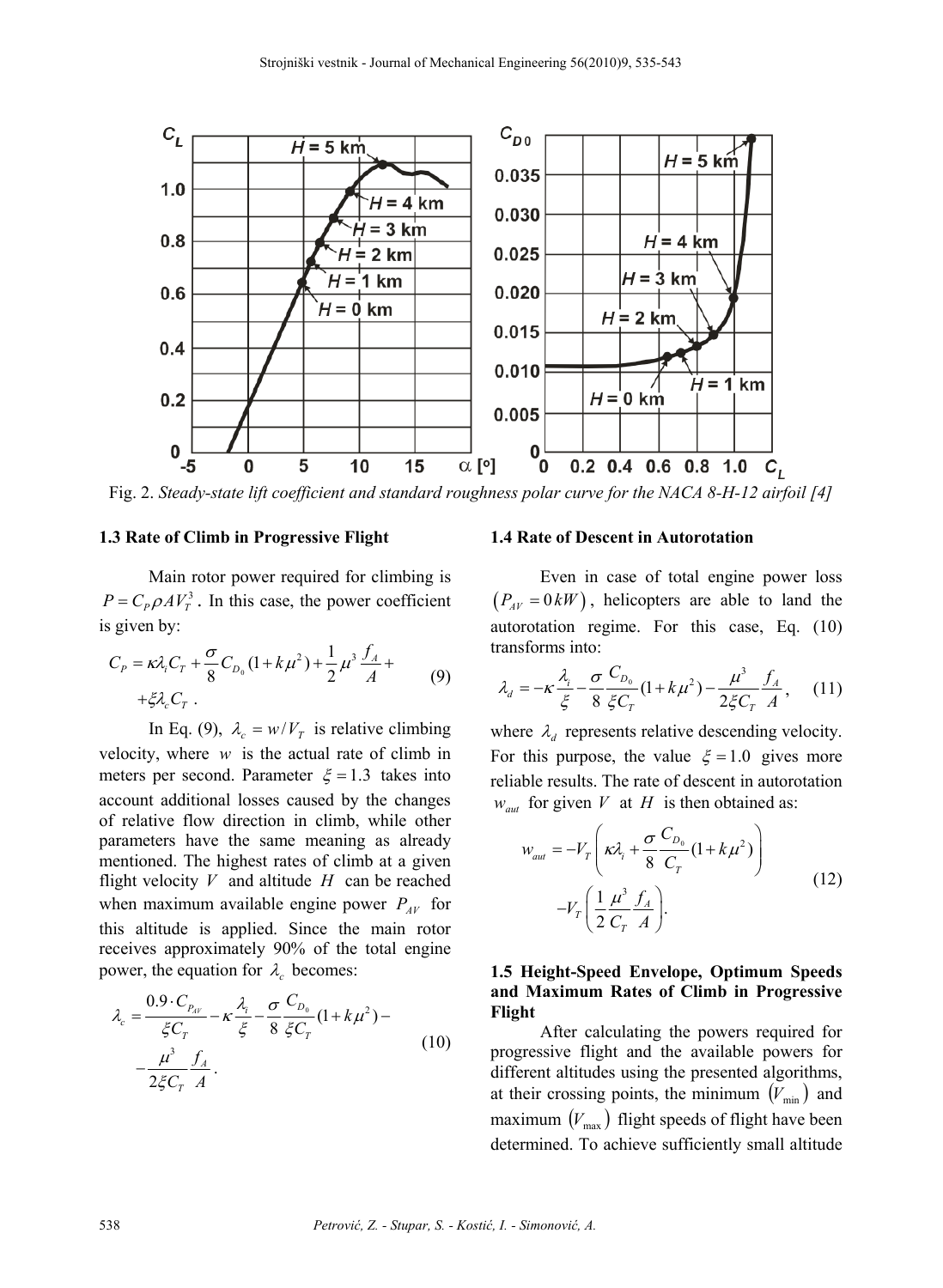

Fig. 2. *Steady-state lift coefficient and standard roughness polar curve for the NACA 8-H-12 airfoil [4]* 

#### **1.3 Rate of Climb in Progressive Flight**

Main rotor power required for climbing is  $P = C_p \rho A V_r^3$ . In this case, the power coefficient is given by:

$$
C_{P} = \kappa \lambda_{i} C_{T} + \frac{\sigma}{8} C_{D_{0}} (1 + k \mu^{2}) + \frac{1}{2} \mu^{3} \frac{f_{A}}{A} +
$$
  
+  $\xi \lambda_{c} C_{T}$ . (9)

In Eq. (9),  $\lambda_c = w/V_T$  is relative climbing velocity, where  $w$  is the actual rate of climb in meters per second. Parameter  $\zeta = 1.3$  takes into account additional losses caused by the changes of relative flow direction in climb, while other parameters have the same meaning as already mentioned. The highest rates of climb at a given flight velocity  $V$  and altitude  $H$  can be reached when maximum available engine power  $P_{\mu\nu}$  for this altitude is applied. Since the main rotor receives approximately 90% of the total engine power, the equation for  $\lambda_c$  becomes:

$$
\lambda_c = \frac{0.9 \cdot C_{P_{AV}}}{\xi C_T} - \kappa \frac{\lambda_i}{\xi} - \frac{\sigma}{8} \frac{C_{D_0}}{\xi C_T} (1 + k\mu^2) - \frac{\mu^3}{2\xi C_T} \frac{f_A}{A}.
$$
\n(10)

### **1.4 Rate of Descent in Autorotation**

Even in case of total engine power loss  $(P_{\mu\nu} = 0/kW)$ , helicopters are able to land the autorotation regime. For this case, Eq. (10) transforms into:

$$
\lambda_d = -\kappa \frac{\lambda_i}{\xi} - \frac{\sigma}{8} \frac{C_{D_0}}{\xi C_T} (1 + k\mu^2) - \frac{\mu^3}{2\xi C_T} \frac{f_A}{A}, \quad (11)
$$

where  $\lambda_d$  represents relative descending velocity. For this purpose, the value  $\xi = 1.0$  gives more reliable results. The rate of descent in autorotation  $w_{\text{aut}}$  for given *V* at *H* is then obtained as:

$$
w_{\text{aut}} = -V_T \left( \kappa \lambda_i + \frac{\sigma}{8} \frac{C_{D_0}}{C_T} (1 + k \mu^2) \right)
$$
  
-
$$
-V_T \left( \frac{1}{2} \frac{\mu^3}{C_T} \frac{f_A}{A} \right).
$$
 (12)

# **1.5 Height-Speed Envelope, Optimum Speeds and Maximum Rates of Climb in Progressive Flight**

After calculating the powers required for progressive flight and the available powers for different altitudes using the presented algorithms, at their crossing points, the minimum  $(V_{min})$  and maximum  $(V_{\text{max}})$  flight speeds of flight have been determined. To achieve sufficiently small altitude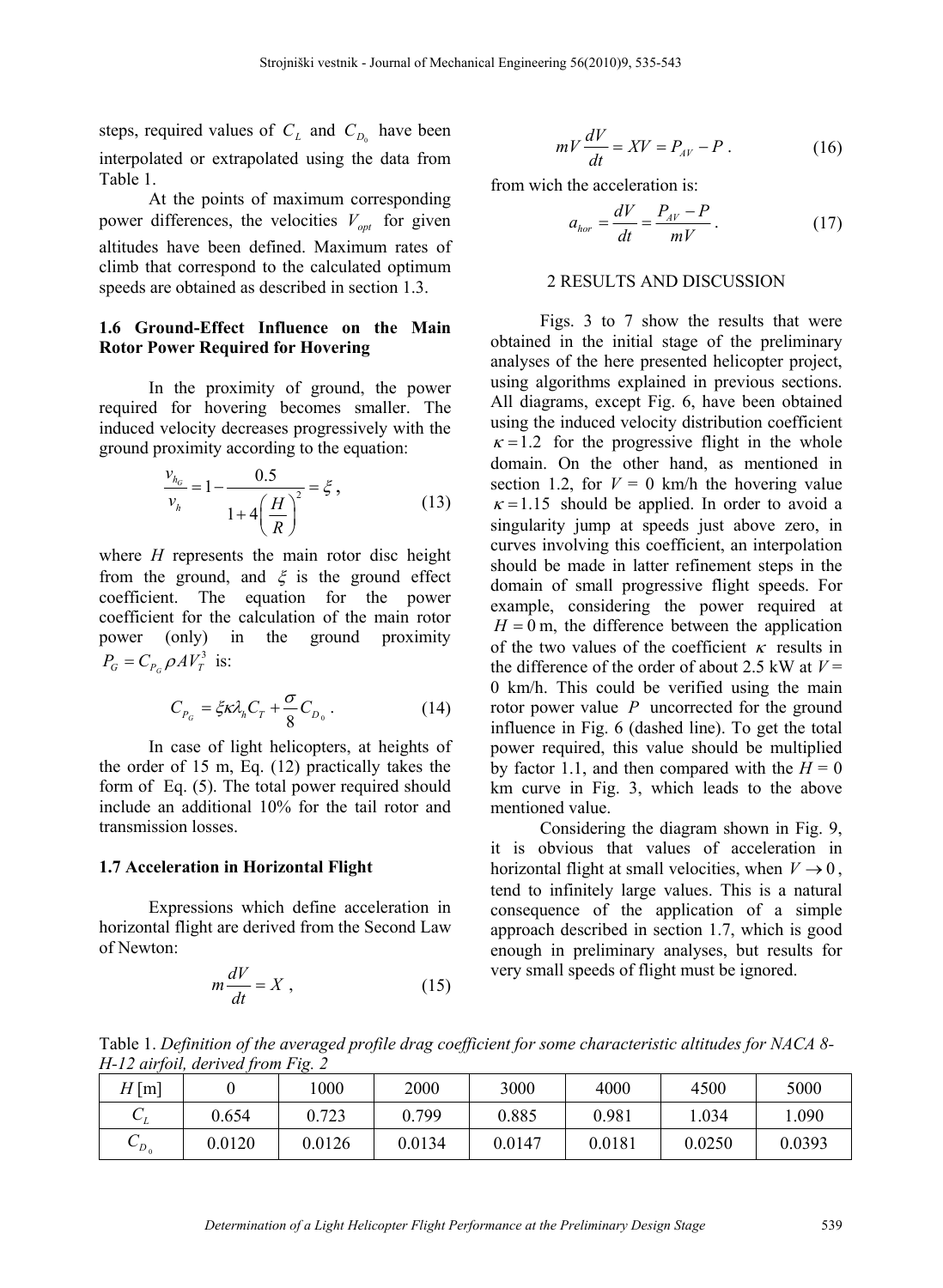steps, required values of  $C_L$  and  $C_D$  have been interpolated or extrapolated using the data from Table 1.

At the points of maximum corresponding power differences, the velocities  $V_{opt}$  for given altitudes have been defined. Maximum rates of climb that correspond to the calculated optimum speeds are obtained as described in section 1.3.

# **1.6 Ground-Effect Influence on the Main Rotor Power Required for Hovering**

In the proximity of ground, the power required for hovering becomes smaller. The induced velocity decreases progressively with the ground proximity according to the equation:

$$
\frac{v_{h_G}}{v_h} = 1 - \frac{0.5}{1 + 4\left(\frac{H}{R}\right)^2} = \xi \,,\tag{13}
$$

where *H* represents the main rotor disc height from the ground, and  $\xi$  is the ground effect coefficient. The equation for the power coefficient for the calculation of the main rotor power (only) in the ground proximity  $P_G = C_{P_G} \rho A V_T^3$  is:

$$
C_{P_G} = \xi \kappa \lambda_h C_T + \frac{\sigma}{8} C_{D_0} \,. \tag{14}
$$

In case of light helicopters, at heights of the order of 15 m, Eq. (12) practically takes the form of Eq. (5). The total power required should include an additional 10% for the tail rotor and transmission losses.

#### **1.7 Acceleration in Horizontal Flight**

Expressions which define acceleration in horizontal flight are derived from the Second Law of Newton:

$$
m\frac{dV}{dt} = X \t{, \t(15)}
$$

$$
mV\frac{dV}{dt} = XV = P_{AV} - P.
$$
 (16)

from wich the acceleration is:

$$
a_{hor} = \frac{dV}{dt} = \frac{P_{AV} - P}{mV} \,. \tag{17}
$$

## 2 RESULTS AND DISCUSSION

Figs. 3 to 7 show the results that were obtained in the initial stage of the preliminary analyses of the here presented helicopter project, using algorithms explained in previous sections. All diagrams, except Fig. 6, have been obtained using the induced velocity distribution coefficient  $\kappa = 1.2$  for the progressive flight in the whole domain. On the other hand, as mentioned in section 1.2, for  $V = 0$  km/h the hovering value  $\kappa$ =1.15 should be applied. In order to avoid a singularity jump at speeds just above zero, in curves involving this coefficient, an interpolation should be made in latter refinement steps in the domain of small progressive flight speeds. For example, considering the power required at  $H = 0$  m, the difference between the application of the two values of the coefficient  $\kappa$  results in the difference of the order of about 2.5 kW at  $V =$ 0 km/h. This could be verified using the main rotor power value *P* uncorrected for the ground influence in Fig. 6 (dashed line). To get the total power required, this value should be multiplied by factor 1.1, and then compared with the  $H = 0$ km curve in Fig. 3, which leads to the above mentioned value.

Considering the diagram shown in Fig. 9, it is obvious that values of acceleration in horizontal flight at small velocities, when  $V \rightarrow 0$ , tend to infinitely large values. This is a natural consequence of the application of a simple approach described in section 1.7, which is good enough in preliminary analyses, but results for very small speeds of flight must be ignored.

Table 1. *Definition of the averaged profile drag coefficient for some characteristic altitudes for NACA 8- H-12 airfoil, derived from Fig. 2* 

| $H$ [m]         |        | $\cdot$<br>000 | 2000   | 3000   | 4000   | 4500   | 5000   |
|-----------------|--------|----------------|--------|--------|--------|--------|--------|
| $\sqrt{ }$<br>◡ | 0.654  | 0.723          | 0.799  | 0.885  | 0.981  | .034   | .090   |
| $\sim_{D_0}$    | 0.0120 | 0.0126         | 0.0134 | 0.0147 | 0.0181 | 0.0250 | 0.0393 |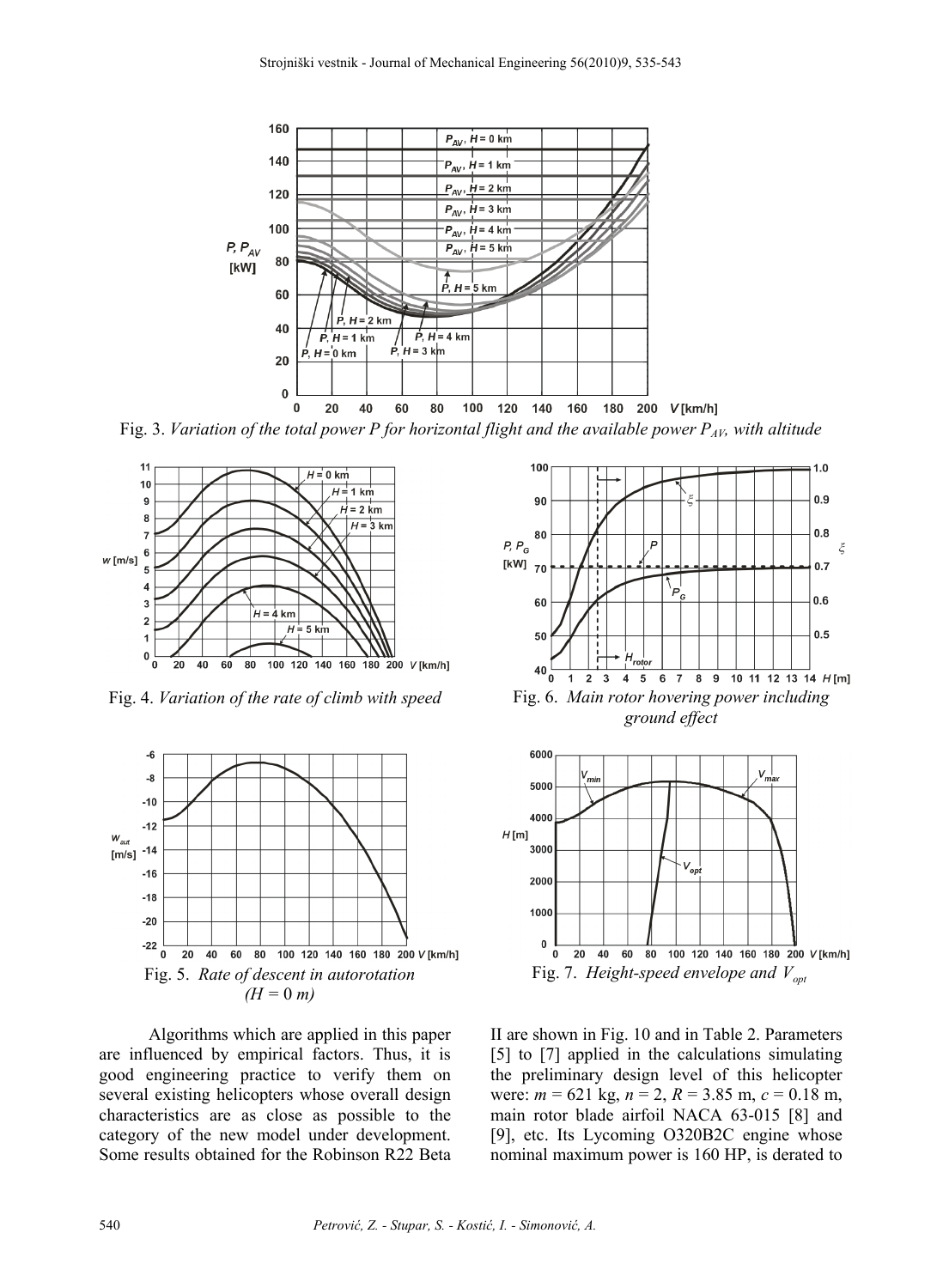

Fig. 3. *Variation of the total power P for horizontal flight and the available power P<sub>AV</sub>, with altitude* 



Fig. 4. *Variation of the rate of climb with speed*



Algorithms which are applied in this paper are influenced by empirical factors. Thus, it is good engineering practice to verify them on several existing helicopters whose overall design characteristics are as close as possible to the category of the new model under development. Some results obtained for the Robinson R22 Beta





II are shown in Fig. 10 and in Table 2. Parameters [5] to [7] applied in the calculations simulating the preliminary design level of this helicopter were: *m* = 621 kg, *n* = 2, *R* = 3.85 m, *c* = 0.18 m, main rotor blade airfoil NACA 63-015 [8] and [9], etc. Its Lycoming O320B2C engine whose nominal maximum power is 160 HP, is derated to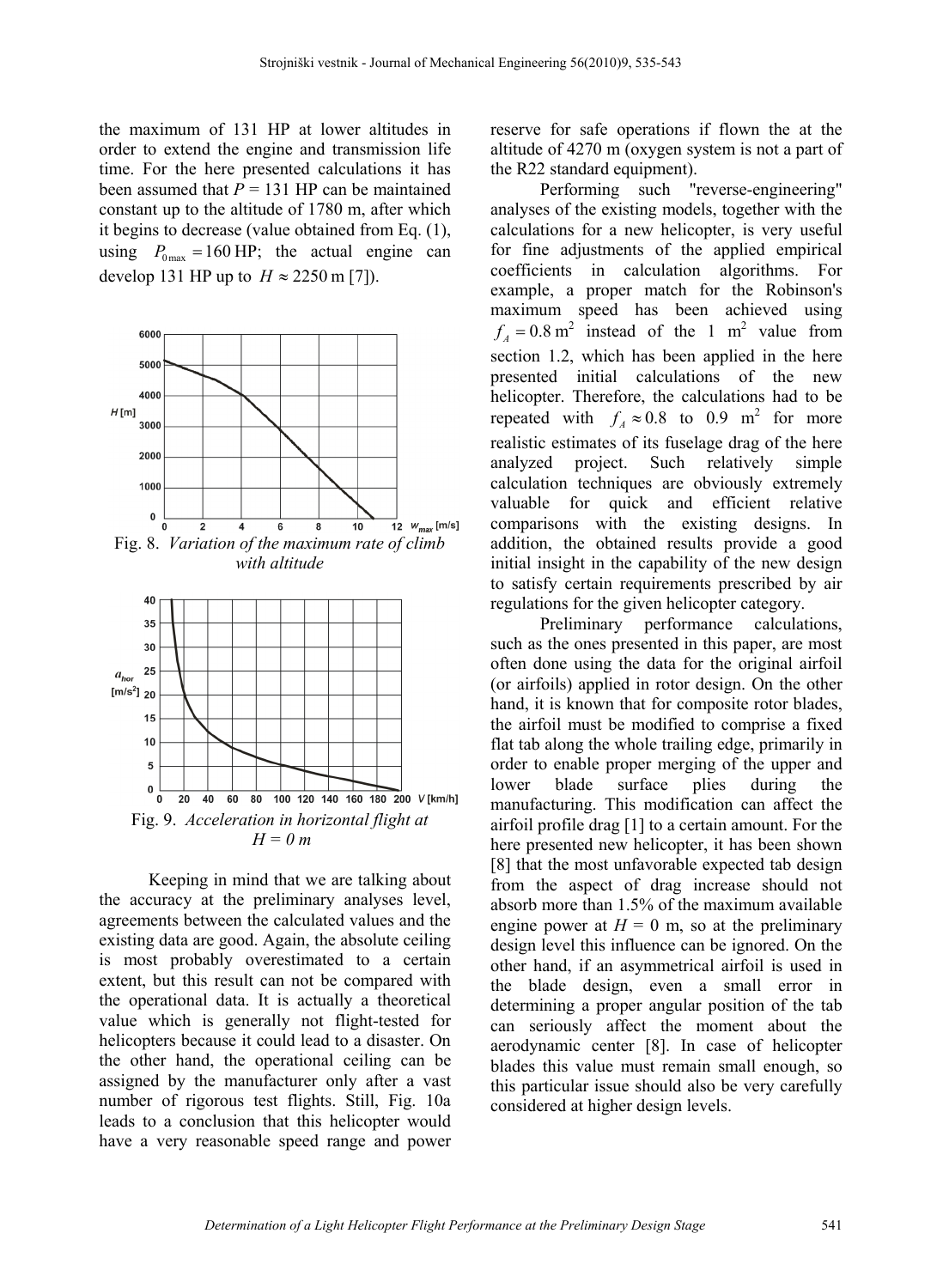the maximum of 131 HP at lower altitudes in order to extend the engine and transmission life time. For the here presented calculations it has been assumed that  $P = 131$  HP can be maintained constant up to the altitude of 1780 m, after which it begins to decrease (value obtained from Eq. (1), using  $P_{0\text{max}} = 160 \text{ HP}$ ; the actual engine can develop 131 HP up to  $H \approx 2250$  m [7]).



Fig. 8. *Variation of the maximum rate of climb with altitude*



Keeping in mind that we are talking about the accuracy at the preliminary analyses level, agreements between the calculated values and the existing data are good. Again, the absolute ceiling is most probably overestimated to a certain extent, but this result can not be compared with the operational data. It is actually a theoretical value which is generally not flight-tested for helicopters because it could lead to a disaster. On the other hand, the operational ceiling can be assigned by the manufacturer only after a vast number of rigorous test flights. Still, Fig. 10a leads to a conclusion that this helicopter would have a very reasonable speed range and power reserve for safe operations if flown the at the altitude of 4270 m (oxygen system is not a part of the R22 standard equipment).

Performing such "reverse-engineering" analyses of the existing models, together with the calculations for a new helicopter, is very useful for fine adjustments of the applied empirical coefficients in calculation algorithms. For example, a proper match for the Robinson's maximum speed has been achieved using  $f_A = 0.8 \text{ m}^2$  instead of the 1 m<sup>2</sup> value from section 1.2, which has been applied in the here presented initial calculations of the new helicopter. Therefore, the calculations had to be repeated with  $f_A \approx 0.8$  to 0.9 m<sup>2</sup> for more realistic estimates of its fuselage drag of the here analyzed project. Such relatively simple calculation techniques are obviously extremely valuable for quick and efficient relative comparisons with the existing designs. In addition, the obtained results provide a good initial insight in the capability of the new design to satisfy certain requirements prescribed by air regulations for the given helicopter category.

Preliminary performance calculations, such as the ones presented in this paper, are most often done using the data for the original airfoil (or airfoils) applied in rotor design. On the other hand, it is known that for composite rotor blades, the airfoil must be modified to comprise a fixed flat tab along the whole trailing edge, primarily in order to enable proper merging of the upper and lower blade surface plies during the manufacturing. This modification can affect the airfoil profile drag [1] to a certain amount. For the here presented new helicopter, it has been shown [8] that the most unfavorable expected tab design from the aspect of drag increase should not absorb more than 1.5% of the maximum available engine power at  $H = 0$  m, so at the preliminary design level this influence can be ignored. On the other hand, if an asymmetrical airfoil is used in the blade design, even a small error in determining a proper angular position of the tab can seriously affect the moment about the aerodynamic center [8]. In case of helicopter blades this value must remain small enough, so this particular issue should also be very carefully considered at higher design levels.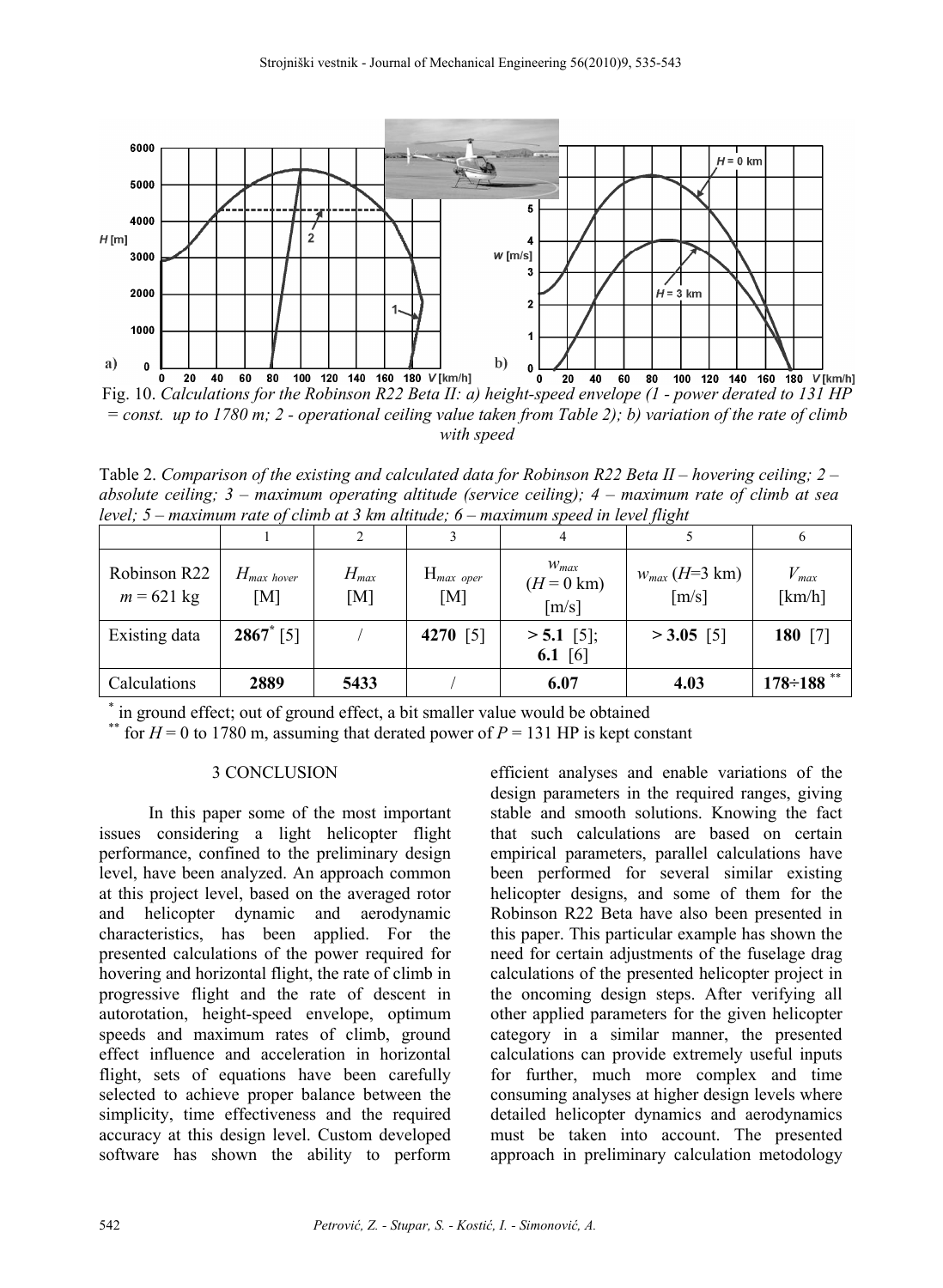

Table 2. *Comparison of the existing and calculated data for Robinson R22 Beta II – hovering ceiling; 2 – absolute ceiling; 3 – maximum operating altitude (service ceiling); 4 – maximum rate of climb at sea level; 5 – maximum rate of climb at 3 km altitude; 6 – maximum speed in level flight* 

|                              |                             |                           |                        |                                                        | ., .,                                |                     |
|------------------------------|-----------------------------|---------------------------|------------------------|--------------------------------------------------------|--------------------------------------|---------------------|
| Robinson R22<br>$m = 621$ kg | $H_{max \; however}$<br>[M] | $H_{\mathit{max}}$<br>[M] | $H_{max\ over}$<br>[M] | $W_{max}$<br>$(H=0 \text{ km})$<br>$\lceil m/s \rceil$ | $w_{max}$ ( <i>H</i> =3 km)<br>[m/s] | $V_{max}$<br>[km/h] |
| Existing data                | $2867^{\circ}$ [5]          |                           | 4270 [5]               | $> 5.1$ [5];                                           | $>$ 3.05 [5]                         | 180 $[7]$           |
|                              |                             |                           |                        | 6.1 $[6]$                                              |                                      |                     |
| Calculations                 | 2889                        | 5433                      |                        | 6.07                                                   | 4.03                                 | $178 \div 188$ **   |

\* in ground effect; out of ground effect, a bit smaller value would be obtained

<sup>\*\*</sup> for  $H = 0$  to 1780 m, assuming that derated power of  $P = 131$  HP is kept constant

## 3 CONCLUSION

In this paper some of the most important issues considering a light helicopter flight performance, confined to the preliminary design level, have been analyzed. An approach common at this project level, based on the averaged rotor and helicopter dynamic and aerodynamic characteristics, has been applied. For the presented calculations of the power required for hovering and horizontal flight, the rate of climb in progressive flight and the rate of descent in autorotation, height-speed envelope, optimum speeds and maximum rates of climb, ground effect influence and acceleration in horizontal flight, sets of equations have been carefully selected to achieve proper balance between the simplicity, time effectiveness and the required accuracy at this design level. Custom developed software has shown the ability to perform

efficient analyses and enable variations of the design parameters in the required ranges, giving stable and smooth solutions. Knowing the fact that such calculations are based on certain empirical parameters, parallel calculations have been performed for several similar existing helicopter designs, and some of them for the Robinson R22 Beta have also been presented in this paper. This particular example has shown the need for certain adjustments of the fuselage drag calculations of the presented helicopter project in the oncoming design steps. After verifying all other applied parameters for the given helicopter category in a similar manner, the presented calculations can provide extremely useful inputs for further, much more complex and time consuming analyses at higher design levels where detailed helicopter dynamics and aerodynamics must be taken into account. The presented approach in preliminary calculation metodology